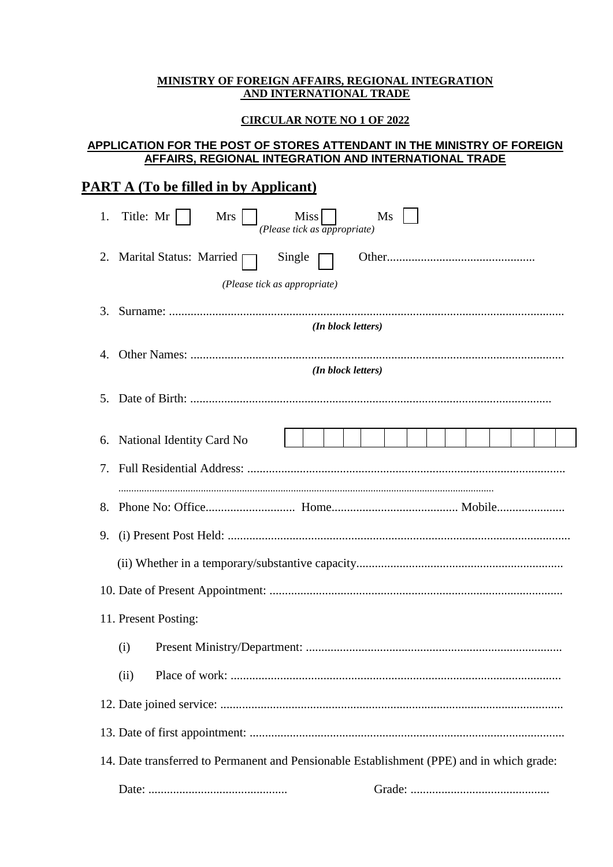#### **MINISTRY OF FOREIGN AFFAIRS, REGIONAL INTEGRATION AND INTERNATIONAL TRADE**

### **CIRCULAR NOTE NO 1 OF 2022**

## **APPLICATION FOR THE POST OF STORES ATTENDANT IN THE MINISTRY OF FOREIGN AFFAIRS, REGIONAL INTEGRATION AND INTERNATIONAL TRADE**

# **PART A (To be filled in by Applicant)**

| 1. | Title: Mr<br>Miss<br>Mrs<br>Ms<br>(Please tick as <i>appropriate</i> )                    |  |  |  |  |  |  |
|----|-------------------------------------------------------------------------------------------|--|--|--|--|--|--|
|    | 2. Marital Status: Married<br>Single                                                      |  |  |  |  |  |  |
|    | (Please tick as appropriate)                                                              |  |  |  |  |  |  |
| 3. | (In block letters)                                                                        |  |  |  |  |  |  |
| 4. |                                                                                           |  |  |  |  |  |  |
|    | (In block letters)                                                                        |  |  |  |  |  |  |
| 5. |                                                                                           |  |  |  |  |  |  |
|    |                                                                                           |  |  |  |  |  |  |
| 6. | National Identity Card No                                                                 |  |  |  |  |  |  |
| 7. |                                                                                           |  |  |  |  |  |  |
| 8. |                                                                                           |  |  |  |  |  |  |
| 9. |                                                                                           |  |  |  |  |  |  |
|    |                                                                                           |  |  |  |  |  |  |
|    |                                                                                           |  |  |  |  |  |  |
|    | 11. Present Posting:                                                                      |  |  |  |  |  |  |
|    | (i)                                                                                       |  |  |  |  |  |  |
|    | (ii)                                                                                      |  |  |  |  |  |  |
|    |                                                                                           |  |  |  |  |  |  |
|    |                                                                                           |  |  |  |  |  |  |
|    | 14. Date transferred to Permanent and Pensionable Establishment (PPE) and in which grade: |  |  |  |  |  |  |
|    |                                                                                           |  |  |  |  |  |  |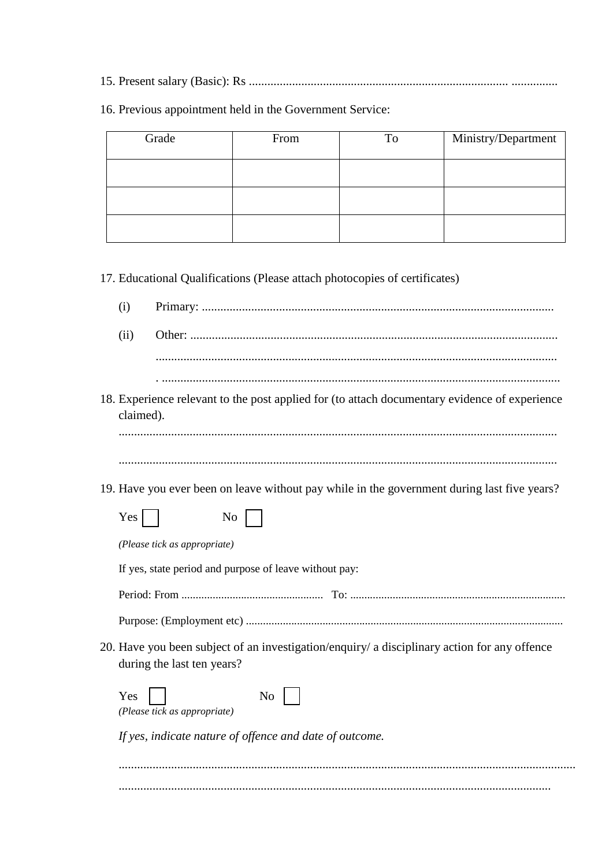16. Previous appointment held in the Government Service:

| Grade | From | To | Ministry/Department |
|-------|------|----|---------------------|
|       |      |    |                     |
|       |      |    |                     |
|       |      |    |                     |

17. Educational Qualifications (Please attach photocopies of certificates)

|  | Primary |  |
|--|---------|--|

- $(ii)$ 
	-
- 18. Experience relevant to the post applied for (to attach documentary evidence of experience claimed).

19. Have you ever been on leave without pay while in the government during last five years?

| <b>Yes</b><br>N <sub>0</sub>                                                                                               |
|----------------------------------------------------------------------------------------------------------------------------|
| (Please tick as appropriate)                                                                                               |
| If yes, state period and purpose of leave without pay:                                                                     |
|                                                                                                                            |
|                                                                                                                            |
| 20. Have you been subject of an investigation/enguiry/ a disciplinary action for any offence<br>during the last ten years? |
| Yes<br>No<br>(Please tick as appropriate)                                                                                  |
| If yes, indicate nature of offence and date of outcome.                                                                    |
|                                                                                                                            |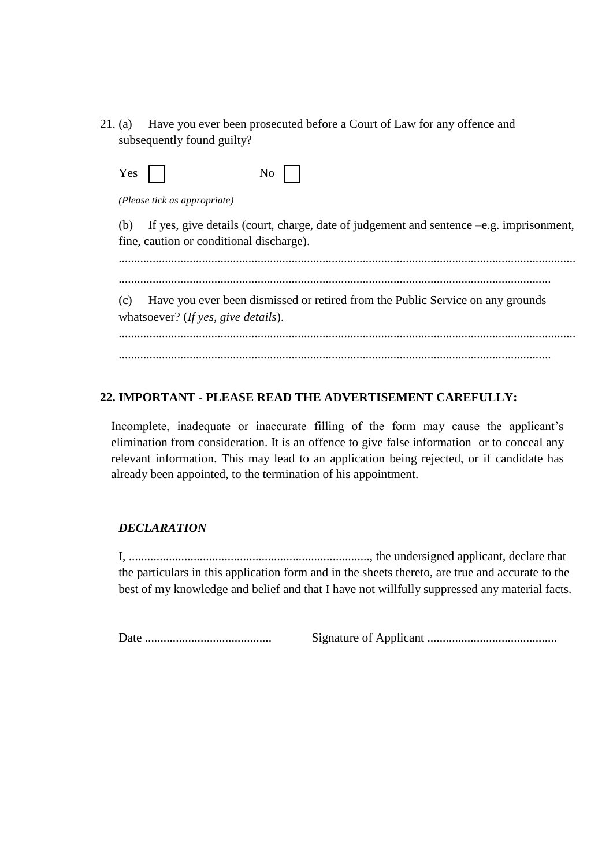21. (a) Have you ever been prosecuted before a Court of Law for any offence and subsequently found guilty?

| Yes<br>- | NO. |  |
|----------|-----|--|
|----------|-----|--|

*(Please tick as appropriate)*

(b) If yes, give details (court, charge, date of judgement and sentence –e.g. imprisonment, fine, caution or conditional discharge).

....................................................................................................................................................

............................................................................................................................................

(c) Have you ever been dismissed or retired from the Public Service on any grounds whatsoever? (*If yes, give details*).

.................................................................................................................................................... ............................................................................................................................................

## **22. IMPORTANT - PLEASE READ THE ADVERTISEMENT CAREFULLY:**

Incomplete, inadequate or inaccurate filling of the form may cause the applicant's elimination from consideration. It is an offence to give false information or to conceal any relevant information. This may lead to an application being rejected, or if candidate has already been appointed, to the termination of his appointment.

## *DECLARATION*

I, .............................................................................., the undersigned applicant, declare that the particulars in this application form and in the sheets thereto, are true and accurate to the best of my knowledge and belief and that I have not willfully suppressed any material facts.

Date ......................................... Signature of Applicant ..........................................